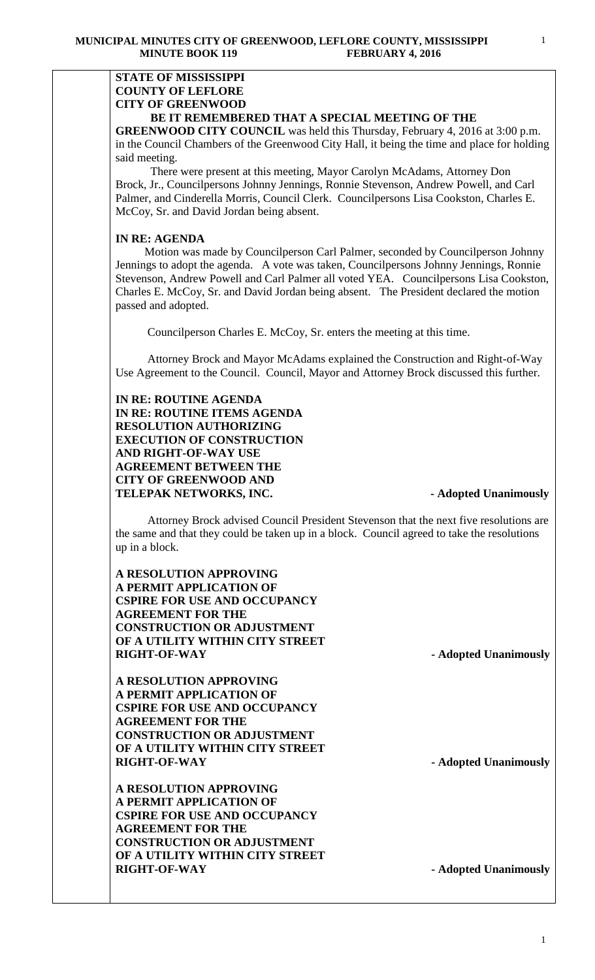## **STATE OF MISSISSIPPI COUNTY OF LEFLORE CITY OF GREENWOOD BE IT REMEMBERED THAT A SPECIAL MEETING OF THE**

**GREENWOOD CITY COUNCIL** was held this Thursday, February 4, 2016 at 3:00 p.m. in the Council Chambers of the Greenwood City Hall, it being the time and place for holding said meeting.

There were present at this meeting, Mayor Carolyn McAdams, Attorney Don Brock, Jr., Councilpersons Johnny Jennings, Ronnie Stevenson, Andrew Powell, and Carl Palmer, and Cinderella Morris, Council Clerk. Councilpersons Lisa Cookston, Charles E. McCoy, Sr. and David Jordan being absent.

# **IN RE: AGENDA**

 Motion was made by Councilperson Carl Palmer, seconded by Councilperson Johnny Jennings to adopt the agenda. A vote was taken, Councilpersons Johnny Jennings, Ronnie Stevenson, Andrew Powell and Carl Palmer all voted YEA. Councilpersons Lisa Cookston, Charles E. McCoy, Sr. and David Jordan being absent. The President declared the motion passed and adopted.

Councilperson Charles E. McCoy, Sr. enters the meeting at this time.

 Attorney Brock and Mayor McAdams explained the Construction and Right-of-Way Use Agreement to the Council. Council, Mayor and Attorney Brock discussed this further.

**IN RE: ROUTINE AGENDA IN RE: ROUTINE ITEMS AGENDA RESOLUTION AUTHORIZING EXECUTION OF CONSTRUCTION AND RIGHT-OF-WAY USE AGREEMENT BETWEEN THE CITY OF GREENWOOD AND TELEPAK NETWORKS, INC. - Adopted Unanimously** 

Attorney Brock advised Council President Stevenson that the next five resolutions are the same and that they could be taken up in a block. Council agreed to take the resolutions up in a block.

**A RESOLUTION APPROVING A PERMIT APPLICATION OF CSPIRE FOR USE AND OCCUPANCY AGREEMENT FOR THE CONSTRUCTION OR ADJUSTMENT OF A UTILITY WITHIN CITY STREET RIGHT-OF-WAY** - **Adopted Unanimously** 

**A RESOLUTION APPROVING A PERMIT APPLICATION OF CSPIRE FOR USE AND OCCUPANCY AGREEMENT FOR THE CONSTRUCTION OR ADJUSTMENT OF A UTILITY WITHIN CITY STREET RIGHT-OF-WAY** - **Adopted Unanimously** 

**A RESOLUTION APPROVING A PERMIT APPLICATION OF CSPIRE FOR USE AND OCCUPANCY AGREEMENT FOR THE CONSTRUCTION OR ADJUSTMENT OF A UTILITY WITHIN CITY STREET RIGHT-OF-WAY - Adopted Unanimously**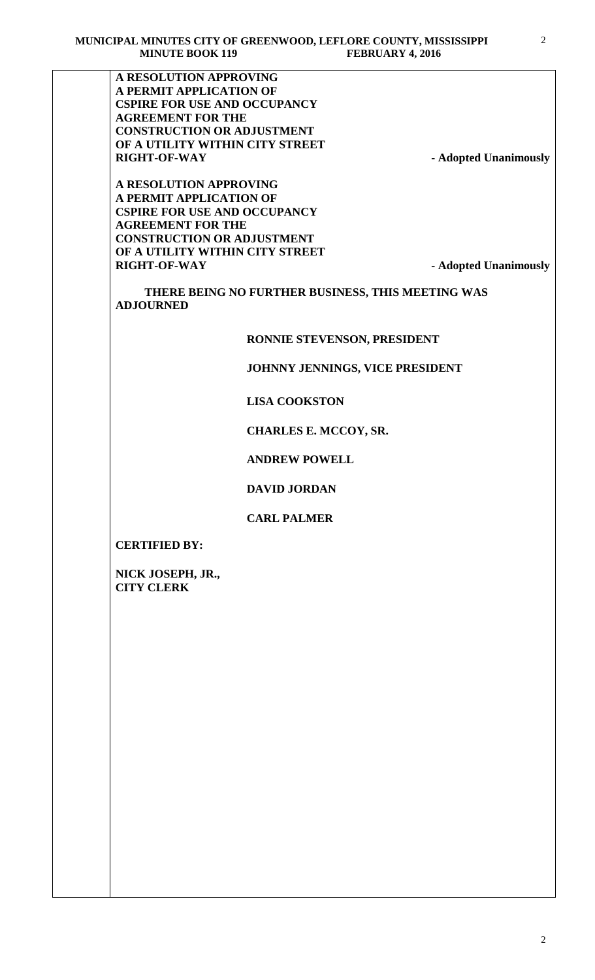**A RESOLUTION APPROVING A PERMIT APPLICATION OF CSPIRE FOR USE AND OCCUPANCY AGREEMENT FOR THE CONSTRUCTION OR ADJUSTMENT OF A UTILITY WITHIN CITY STREET RIGHT-OF-WAY** - **Adopted Unanimously** 

**A RESOLUTION APPROVING A PERMIT APPLICATION OF CSPIRE FOR USE AND OCCUPANCY AGREEMENT FOR THE CONSTRUCTION OR ADJUSTMENT OF A UTILITY WITHIN CITY STREET RIGHT-OF-WAY** - **Adopted Unanimously** 

 **THERE BEING NO FURTHER BUSINESS, THIS MEETING WAS ADJOURNED**

### **RONNIE STEVENSON, PRESIDENT**

## **JOHNNY JENNINGS, VICE PRESIDENT**

## **LISA COOKSTON**

### **CHARLES E. MCCOY, SR.**

## **ANDREW POWELL**

### **DAVID JORDAN**

### **CARL PALMER**

**CERTIFIED BY:**

**NICK JOSEPH, JR., CITY CLERK**